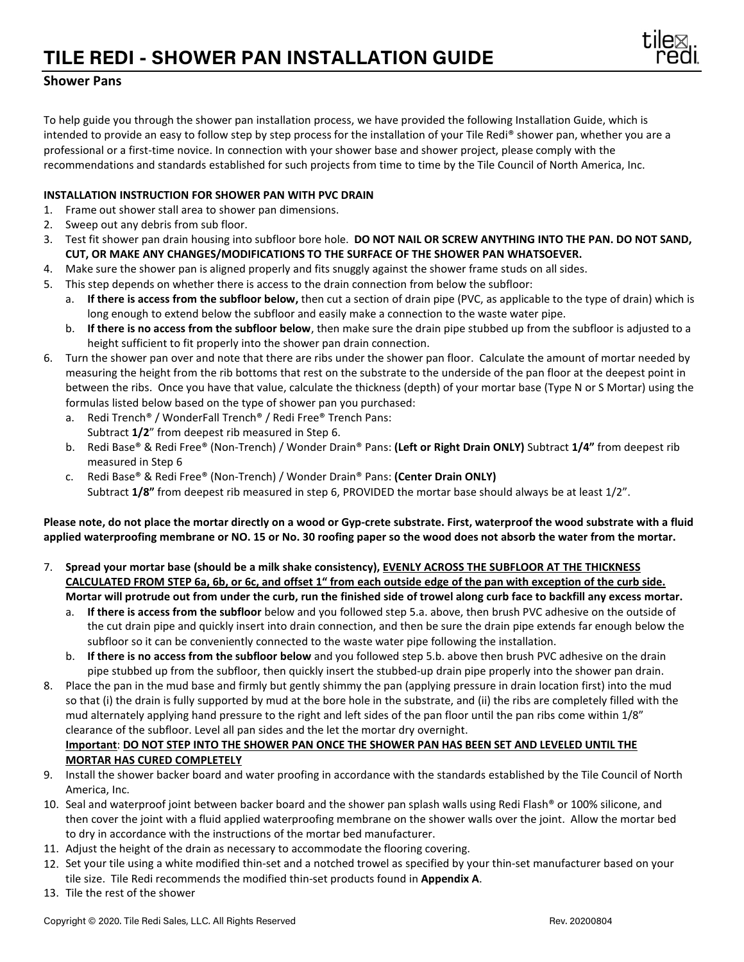## **TILE REDI - SHOWER PAN INSTALLATION GUIDE**



## **Shower Pans**

To help guide you through the shower pan installation process, we have provided the following Installation Guide, which is intended to provide an easy to follow step by step process for the installation of your Tile Redi® shower pan, whether you are a professional or a first-time novice. In connection with your shower base and shower project, please comply with the recommendations and standards established for such projects from time to time by the Tile Council of North America, Inc.

## **INSTALLATION INSTRUCTION FOR SHOWER PAN WITH PVC DRAIN**

- 1. Frame out shower stall area to shower pan dimensions.
- 2. Sweep out any debris from sub floor.
- 3. Test fit shower pan drain housing into subfloor bore hole. **DO NOT NAIL OR SCREW ANYTHING INTO THE PAN. DO NOT SAND, CUT, OR MAKE ANY CHANGES/MODIFICATIONS TO THE SURFACE OF THE SHOWER PAN WHATSOEVER.**
- 4. Make sure the shower pan is aligned properly and fits snuggly against the shower frame studs on all sides.
- 5. This step depends on whether there is access to the drain connection from below the subfloor:
	- a. **If there is access from the subfloor below,** then cut a section of drain pipe (PVC, as applicable to the type of drain) which is long enough to extend below the subfloor and easily make a connection to the waste water pipe.
	- b. **If there is no access from the subfloor below**, then make sure the drain pipe stubbed up from the subfloor is adjusted to a height sufficient to fit properly into the shower pan drain connection.
- 6. Turn the shower pan over and note that there are ribs under the shower pan floor. Calculate the amount of mortar needed by measuring the height from the rib bottoms that rest on the substrate to the underside of the pan floor at the deepest point in between the ribs. Once you have that value, calculate the thickness (depth) of your mortar base (Type N or S Mortar) using the formulas listed below based on the type of shower pan you purchased:
	- a. Redi Trench® / WonderFall Trench® / Redi Free® Trench Pans: Subtract **1/2**" from deepest rib measured in Step 6.
	- b. Redi Base® & Redi Free® (Non-Trench) / Wonder Drain® Pans: **(Left or Right Drain ONLY)** Subtract **1/4"** from deepest rib measured in Step 6
	- c. Redi Base® & Redi Free® (Non-Trench) / Wonder Drain® Pans: **(Center Drain ONLY)** Subtract **1/8"** from deepest rib measured in step 6, PROVIDED the mortar base should always be at least 1/2".

**Please note, do not place the mortar directly on a wood or Gyp-crete substrate. First, waterproof the wood substrate with a fluid applied waterproofing membrane or NO. 15 or No. 30 roofing paper so the wood does not absorb the water from the mortar.**

- 7. **Spread your mortar base (should be a milk shake consistency), EVENLY ACROSS THE SUBFLOOR AT THE THICKNESS CALCULATED FROM STEP 6a, 6b, or 6c, and offset 1" from each outside edge of the pan with exception of the curb side. Mortar will protrude out from under the curb, run the finished side of trowel along curb face to backfill any excess mortar.** 
	- a. **If there is access from the subfloor** below and you followed step 5.a. above, then brush PVC adhesive on the outside of the cut drain pipe and quickly insert into drain connection, and then be sure the drain pipe extends far enough below the subfloor so it can be conveniently connected to the waste water pipe following the installation.
	- b. **If there is no access from the subfloor below** and you followed step 5.b. above then brush PVC adhesive on the drain pipe stubbed up from the subfloor, then quickly insert the stubbed-up drain pipe properly into the shower pan drain.
- 8. Place the pan in the mud base and firmly but gently shimmy the pan (applying pressure in drain location first) into the mud so that (i) the drain is fully supported by mud at the bore hole in the substrate, and (ii) the ribs are completely filled with the mud alternately applying hand pressure to the right and left sides of the pan floor until the pan ribs come within 1/8" clearance of the subfloor. Level all pan sides and the let the mortar dry overnight. **Important**: **DO NOT STEP INTO THE SHOWER PAN ONCE THE SHOWER PAN HAS BEEN SET AND LEVELED UNTIL THE MORTAR HAS CURED COMPLETELY**
- 9. Install the shower backer board and water proofing in accordance with the standards established by the Tile Council of North America, Inc.
- 10. Seal and waterproof joint between backer board and the shower pan splash walls using Redi Flash® or 100% silicone, and then cover the joint with a fluid applied waterproofing membrane on the shower walls over the joint. Allow the mortar bed to dry in accordance with the instructions of the mortar bed manufacturer.
- 11. Adjust the height of the drain as necessary to accommodate the flooring covering.
- 12. Set your tile using a white modified thin-set and a notched trowel as specified by your thin-set manufacturer based on your tile size. Tile Redi recommends the modified thin-set products found in **Appendix A**.
- 13. Tile the rest of the shower